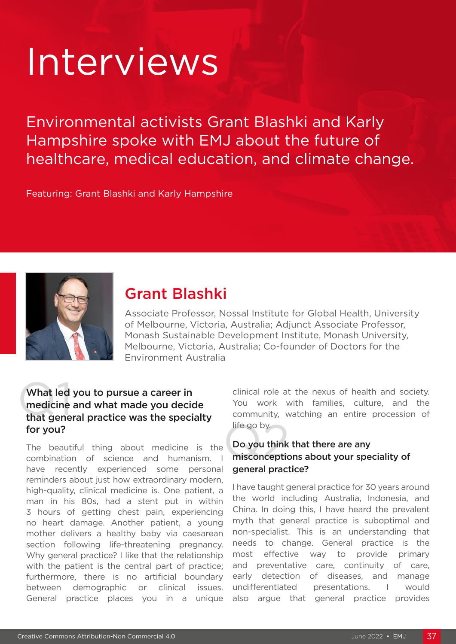# Interviews

Environmental activists Grant Blashki and Karly Hampshire spoke with EMJ about the future of healthcare, medical education, and climate change.

Featuring: Grant Blashki and Karly Hampshire



# Grant Blashki

Associate Professor, Nossal Institute for Global Health, University of Melbourne, Victoria, Australia; Adjunct Associate Professor, Monash Sustainable Development Institute, Monash University, Melbourne, Victoria, Australia; Co-founder of Doctors for the Environment Australia

#### What led you to pursue a career in<br>medicine and what made you decide<br>that general practice was the specialty What led you to pursue a career in medicine and what made you decide for you?

The beautiful thing about medicine is the combination of science and humanism. I have recently experienced some personal reminders about just how extraordinary modern, high-quality, clinical medicine is. One patient, a man in his 80s, had a stent put in within 3 hours of getting chest pain, experiencing no heart damage. Another patient, a young mother delivers a healthy baby via caesarean section following life-threatening pregnancy. Why general practice? I like that the relationship with the patient is the central part of practice; furthermore, there is no artificial boundary between demographic or clinical issues. General practice places you in a unique

clinical role at the nexus of health and society. You work with families, culture, and the community, watching an entire procession of life go by.

# life go by.<br>Do you think that there are any<br>misconceptions about your speciality of Do you think that there are any general practice?

I have taught general practice for 30 years around the world including Australia, Indonesia, and China. In doing this, I have heard the prevalent myth that general practice is suboptimal and non-specialist. This is an understanding that needs to change. General practice is the most effective way to provide primary and preventative care, continuity of care, early detection of diseases, and manage undifferentiated presentations. I would also argue that general practice provides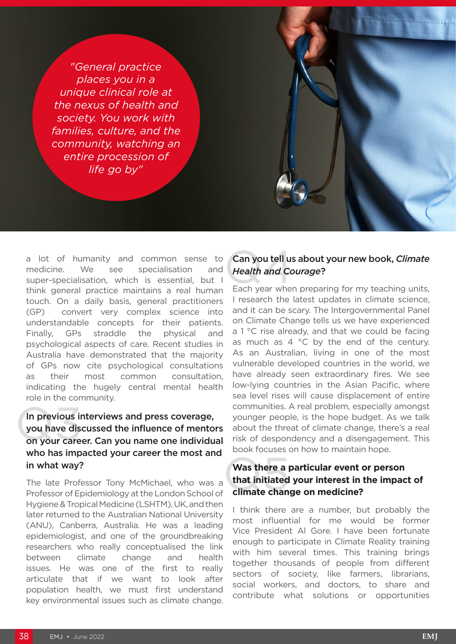*"General practice places you in a unique clinical role at the nexus of health and society. You work with families, culture, and the community, watching an entire procession of life go by"*

a lot of humanity and common sense to medicine. We see specialisation and super-specialisation, which is essential, but I think general practice maintains a real human touch. On a daily basis, general practitioners (GP) convert very complex science into understandable concepts for their patients. Finally, GPs straddle the physical and psychological aspects of care. Recent studies in Australia have demonstrated that the majority of GPs now cite psychological consultations as their most common consultation, indicating the hugely central mental health role in the community.

#### In previous interviews and press coverage,

## In previous interviews and press coverage,<br>you have discussed the influence of mentors<br>on your career. Can you name one individual you have discussed the influence of mentors who has impacted your career the most and in what way?

The late Professor Tony McMichael, who was a Professor of Epidemiology at the London School of Hygiene & Tropical Medicine (LSHTM), UK, and then later returned to the Australian National University (ANU), Canberra, Australia. He was a leading epidemiologist, and one of the groundbreaking researchers who really conceptualised the link between climate change and health issues. He was one of the first to really articulate that if we want to look after population health, we must first understand key environmental issues such as climate change.

## **Can you tell us<br>Health and Contract**<br>Each year when Can you tell us about your new book, *Climate Health and Courage*?

Each year when preparing for my teaching units, I research the latest updates in climate science, and it can be scary. The Intergovernmental Panel on Climate Change tells us we have experienced a 1 °C rise already, and that we could be facing as much as  $4 \degree C$  by the end of the century. As an Australian, living in one of the most vulnerable developed countries in the world, we have already seen extraordinary fires. We see low-lying countries in the Asian Pacific, where sea level rises will cause displacement of entire communities. A real problem, especially amongst younger people, is the hope budget. As we talk about the threat of climate change, there's a real risk of despondency and a disengagement. This book focuses on how to maintain hope.

## Was there a particular event c<br>that initiated your interest in t<br>climate change on medicine? **Was there a particular event or person that initiated your interest in the impact of**

I think there are a number, but probably the most influential for me would be former Vice President Al Gore. I have been fortunate enough to participate in Climate Reality training with him several times. This training brings together thousands of people from different sectors of society, like farmers, librarians, social workers, and doctors, to share and contribute what solutions or opportunities